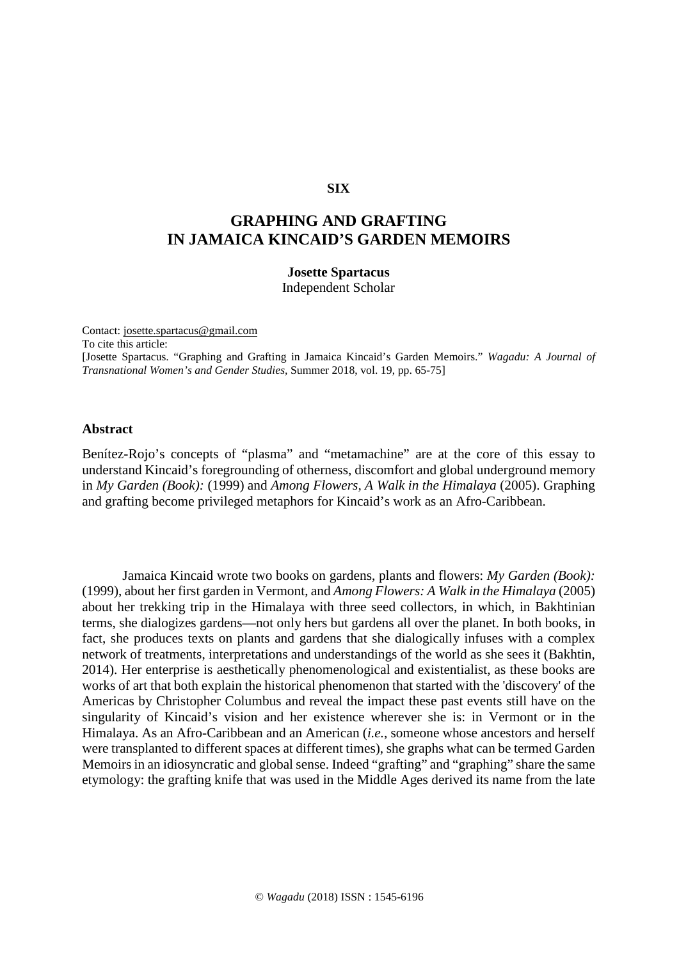### **SIX**

# **GRAPHING AND GRAFTING IN JAMAICA KINCAID'S GARDEN MEMOIRS**

## **Josette Spartacus**

Independent Scholar

Contact: [josette.spartacus@gmail.com](mailto:josette.spartacus@gmail.com)

To cite this article:

[Josette Spartacus. "Graphing and Grafting in Jamaica Kincaid's Garden Memoirs." *Wagadu: A Journal of Transnational Women's and Gender Studies,* Summer 2018, vol. 19, pp. 65-75]

#### **Abstract**

Benítez-Rojo's concepts of "plasma" and "metamachine" are at the core of this essay to understand Kincaid's foregrounding of otherness, discomfort and global underground memory in *My Garden (Book):* (1999) and *Among Flowers, A Walk in the Himalaya* (2005). Graphing and grafting become privileged metaphors for Kincaid's work as an Afro-Caribbean.

Jamaica Kincaid wrote two books on gardens, plants and flowers: *My Garden (Book):*  (1999), about her first garden in Vermont, and *Among Flowers: A Walk in the Himalaya* (2005) about her trekking trip in the Himalaya with three seed collectors, in which, in Bakhtinian terms, she dialogizes gardens—not only hers but gardens all over the planet. In both books, in fact, she produces texts on plants and gardens that she dialogically infuses with a complex network of treatments, interpretations and understandings of the world as she sees it (Bakhtin, 2014). Her enterprise is aesthetically phenomenological and existentialist, as these books are works of art that both explain the historical phenomenon that started with the 'discovery' of the Americas by Christopher Columbus and reveal the impact these past events still have on the singularity of Kincaid's vision and her existence wherever she is: in Vermont or in the Himalaya. As an Afro-Caribbean and an American (*i.e.*, someone whose ancestors and herself were transplanted to different spaces at different times), she graphs what can be termed Garden Memoirs in an idiosyncratic and global sense. Indeed "grafting" and "graphing" share the same etymology: the grafting knife that was used in the Middle Ages derived its name from the late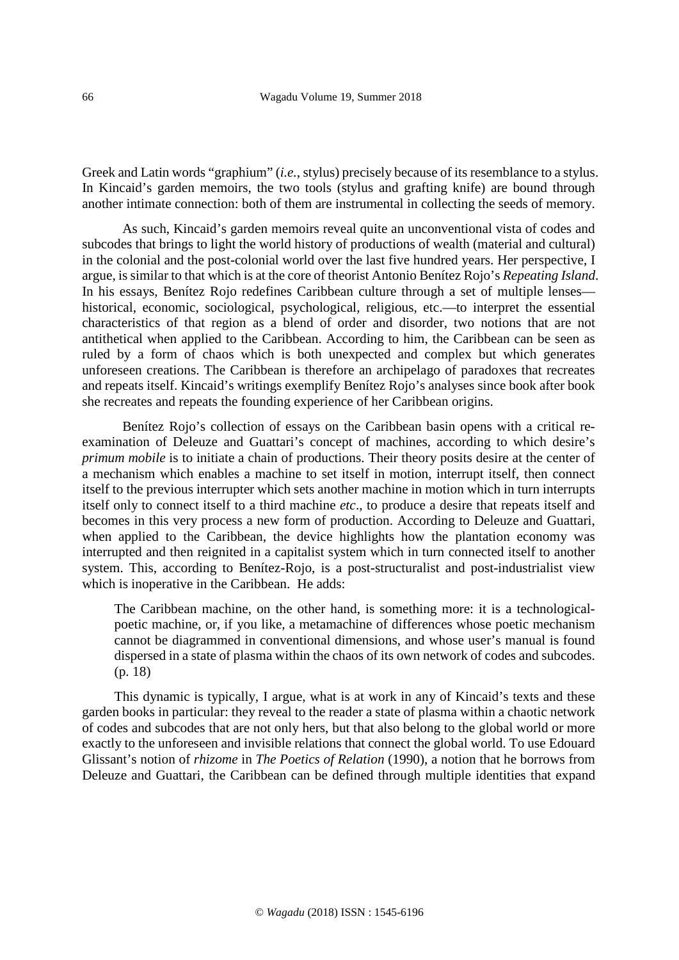Greek and Latin words "graphium" (*i.e.*, stylus) precisely because of its resemblance to a stylus. In Kincaid's garden memoirs, the two tools (stylus and grafting knife) are bound through another intimate connection: both of them are instrumental in collecting the seeds of memory.

As such, Kincaid's garden memoirs reveal quite an unconventional vista of codes and subcodes that brings to light the world history of productions of wealth (material and cultural) in the colonial and the post-colonial world over the last five hundred years. Her perspective, I argue, is similar to that which is at the core of theorist Antonio Benítez Rojo's *Repeating Island*. In his essays, Benítez Rojo redefines Caribbean culture through a set of multiple lenses historical, economic, sociological, psychological, religious, etc.—to interpret the essential characteristics of that region as a blend of order and disorder, two notions that are not antithetical when applied to the Caribbean. According to him, the Caribbean can be seen as ruled by a form of chaos which is both unexpected and complex but which generates unforeseen creations. The Caribbean is therefore an archipelago of paradoxes that recreates and repeats itself. Kincaid's writings exemplify Benítez Rojo's analyses since book after book she recreates and repeats the founding experience of her Caribbean origins.

Benítez Rojo's collection of essays on the Caribbean basin opens with a critical reexamination of Deleuze and Guattari's concept of machines, according to which desire's *primum mobile* is to initiate a chain of productions. Their theory posits desire at the center of a mechanism which enables a machine to set itself in motion, interrupt itself, then connect itself to the previous interrupter which sets another machine in motion which in turn interrupts itself only to connect itself to a third machine *etc*., to produce a desire that repeats itself and becomes in this very process a new form of production. According to Deleuze and Guattari, when applied to the Caribbean, the device highlights how the plantation economy was interrupted and then reignited in a capitalist system which in turn connected itself to another system. This, according to Benítez-Rojo, is a post-structuralist and post-industrialist view which is inoperative in the Caribbean. He adds:

The Caribbean machine, on the other hand, is something more: it is a technologicalpoetic machine, or, if you like, a metamachine of differences whose poetic mechanism cannot be diagrammed in conventional dimensions, and whose user's manual is found dispersed in a state of plasma within the chaos of its own network of codes and subcodes. (p. 18)

This dynamic is typically, I argue, what is at work in any of Kincaid's texts and these garden books in particular: they reveal to the reader a state of plasma within a chaotic network of codes and subcodes that are not only hers, but that also belong to the global world or more exactly to the unforeseen and invisible relations that connect the global world. To use Edouard Glissant's notion of *rhizome* in *The Poetics of Relation* (1990), a notion that he borrows from Deleuze and Guattari, the Caribbean can be defined through multiple identities that expand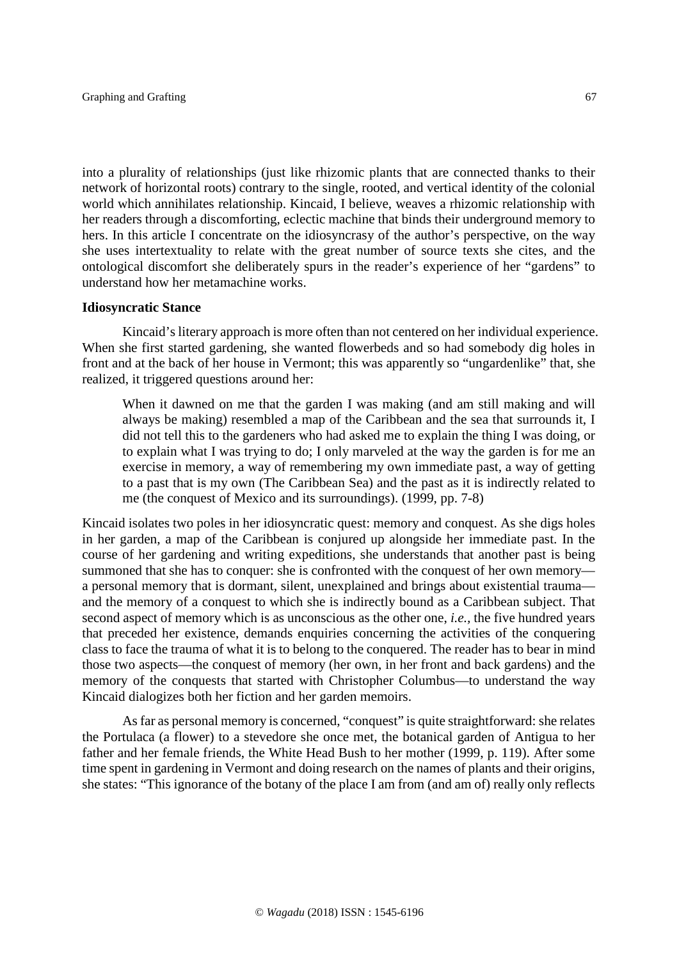into a plurality of relationships (just like rhizomic plants that are connected thanks to their network of horizontal roots) contrary to the single, rooted, and vertical identity of the colonial world which annihilates relationship. Kincaid, I believe, weaves a rhizomic relationship with her readers through a discomforting, eclectic machine that binds their underground memory to hers. In this article I concentrate on the idiosyncrasy of the author's perspective, on the way she uses intertextuality to relate with the great number of source texts she cites, and the ontological discomfort she deliberately spurs in the reader's experience of her "gardens" to understand how her metamachine works.

#### **Idiosyncratic Stance**

Kincaid's literary approach is more often than not centered on her individual experience. When she first started gardening, she wanted flowerbeds and so had somebody dig holes in front and at the back of her house in Vermont; this was apparently so "ungardenlike" that, she realized, it triggered questions around her:

When it dawned on me that the garden I was making (and am still making and will always be making) resembled a map of the Caribbean and the sea that surrounds it, I did not tell this to the gardeners who had asked me to explain the thing I was doing, or to explain what I was trying to do; I only marveled at the way the garden is for me an exercise in memory, a way of remembering my own immediate past, a way of getting to a past that is my own (The Caribbean Sea) and the past as it is indirectly related to me (the conquest of Mexico and its surroundings). (1999, pp. 7-8)

Kincaid isolates two poles in her idiosyncratic quest: memory and conquest. As she digs holes in her garden, a map of the Caribbean is conjured up alongside her immediate past. In the course of her gardening and writing expeditions, she understands that another past is being summoned that she has to conquer: she is confronted with the conquest of her own memory a personal memory that is dormant, silent, unexplained and brings about existential trauma and the memory of a conquest to which she is indirectly bound as a Caribbean subject. That second aspect of memory which is as unconscious as the other one, *i.e.,* the five hundred years that preceded her existence, demands enquiries concerning the activities of the conquering class to face the trauma of what it is to belong to the conquered. The reader has to bear in mind those two aspects—the conquest of memory (her own, in her front and back gardens) and the memory of the conquests that started with Christopher Columbus—to understand the way Kincaid dialogizes both her fiction and her garden memoirs.

As far as personal memory is concerned, "conquest" is quite straightforward: she relates the Portulaca (a flower) to a stevedore she once met, the botanical garden of Antigua to her father and her female friends, the White Head Bush to her mother (1999, p. 119). After some time spent in gardening in Vermont and doing research on the names of plants and their origins, she states: "This ignorance of the botany of the place I am from (and am of) really only reflects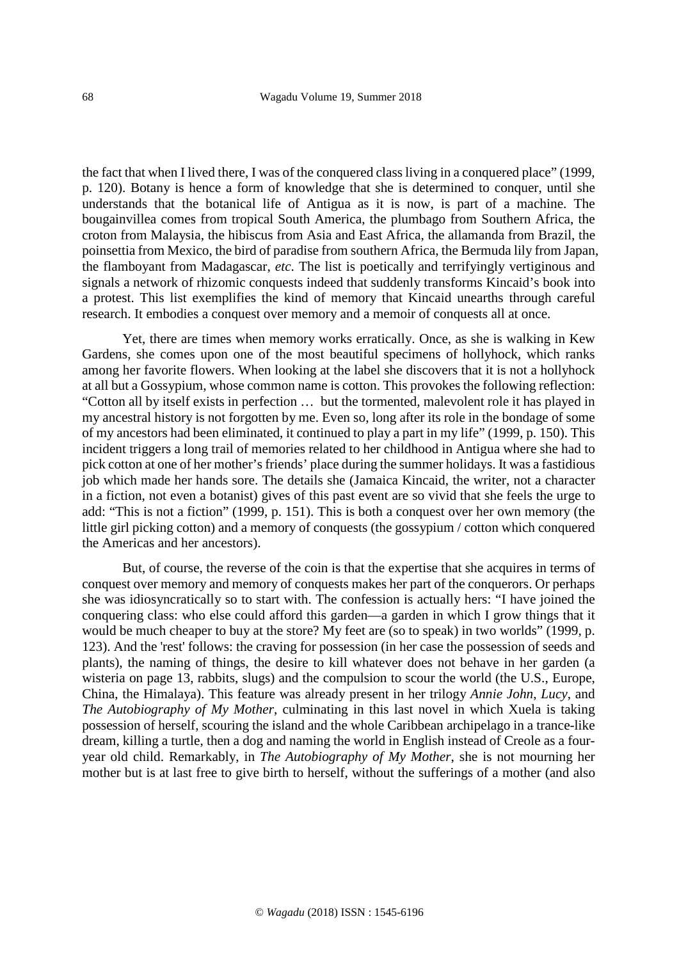the fact that when I lived there, I was of the conquered class living in a conquered place" (1999*,* p. 120). Botany is hence a form of knowledge that she is determined to conquer, until she understands that the botanical life of Antigua as it is now, is part of a machine. The bougainvillea comes from tropical South America, the plumbago from Southern Africa, the croton from Malaysia, the hibiscus from Asia and East Africa, the allamanda from Brazil, the poinsettia from Mexico, the bird of paradise from southern Africa, the Bermuda lily from Japan, the flamboyant from Madagascar, *etc*. The list is poetically and terrifyingly vertiginous and signals a network of rhizomic conquests indeed that suddenly transforms Kincaid's book into a protest. This list exemplifies the kind of memory that Kincaid unearths through careful research. It embodies a conquest over memory and a memoir of conquests all at once.

Yet, there are times when memory works erratically. Once, as she is walking in Kew Gardens, she comes upon one of the most beautiful specimens of hollyhock, which ranks among her favorite flowers. When looking at the label she discovers that it is not a hollyhock at all but a Gossypium, whose common name is cotton. This provokes the following reflection: "Cotton all by itself exists in perfection … but the tormented, malevolent role it has played in my ancestral history is not forgotten by me. Even so, long after its role in the bondage of some of my ancestors had been eliminated, it continued to play a part in my life" (1999, p. 150). This incident triggers a long trail of memories related to her childhood in Antigua where she had to pick cotton at one of her mother's friends' place during the summer holidays. It was a fastidious job which made her hands sore. The details she (Jamaica Kincaid, the writer, not a character in a fiction, not even a botanist) gives of this past event are so vivid that she feels the urge to add: "This is not a fiction" (1999, p. 151). This is both a conquest over her own memory (the little girl picking cotton) and a memory of conquests (the gossypium / cotton which conquered the Americas and her ancestors).

But, of course, the reverse of the coin is that the expertise that she acquires in terms of conquest over memory and memory of conquests makes her part of the conquerors. Or perhaps she was idiosyncratically so to start with. The confession is actually hers: "I have joined the conquering class: who else could afford this garden—a garden in which I grow things that it would be much cheaper to buy at the store? My feet are (so to speak) in two worlds" (1999*,* p. 123). And the 'rest' follows: the craving for possession (in her case the possession of seeds and plants), the naming of things, the desire to kill whatever does not behave in her garden (a wisteria on page 13, rabbits, slugs) and the compulsion to scour the world (the U.S., Europe, China, the Himalaya). This feature was already present in her trilogy *Annie John*, *Lucy*, and *The Autobiography of My Mother*, culminating in this last novel in which Xuela is taking possession of herself, scouring the island and the whole Caribbean archipelago in a trance-like dream, killing a turtle, then a dog and naming the world in English instead of Creole as a fouryear old child. Remarkably, in *The Autobiography of My Mother*, she is not mourning her mother but is at last free to give birth to herself, without the sufferings of a mother (and also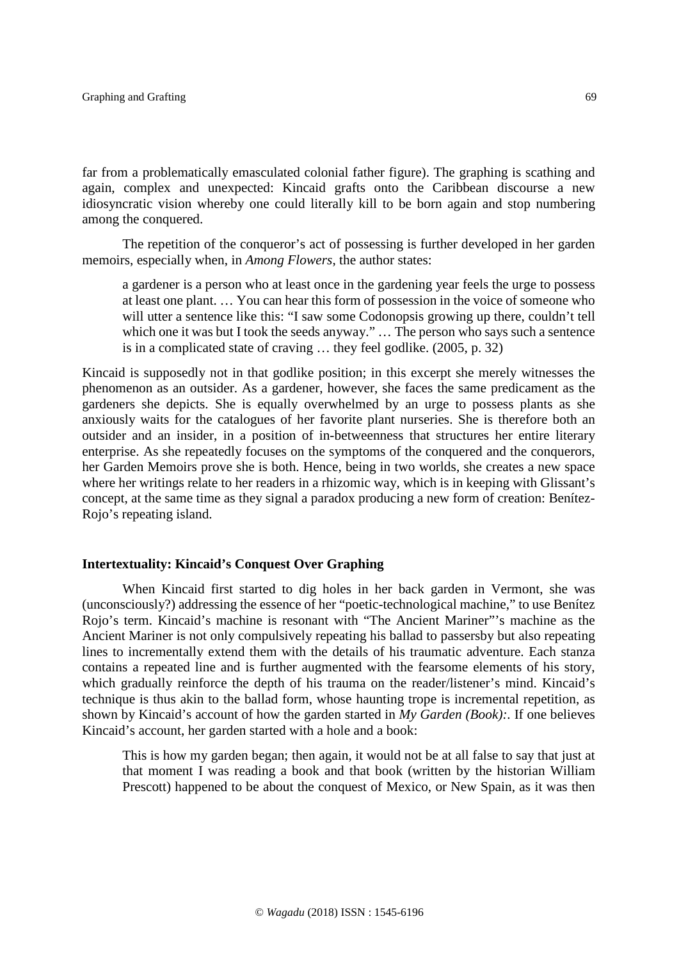far from a problematically emasculated colonial father figure). The graphing is scathing and again, complex and unexpected: Kincaid grafts onto the Caribbean discourse a new idiosyncratic vision whereby one could literally kill to be born again and stop numbering among the conquered.

The repetition of the conqueror's act of possessing is further developed in her garden memoirs, especially when, in *Among Flowers*, the author states:

a gardener is a person who at least once in the gardening year feels the urge to possess at least one plant. … You can hear this form of possession in the voice of someone who will utter a sentence like this: "I saw some Codonopsis growing up there, couldn't tell which one it was but I took the seeds anyway." ... The person who says such a sentence is in a complicated state of craving … they feel godlike. (2005, p. 32)

Kincaid is supposedly not in that godlike position; in this excerpt she merely witnesses the phenomenon as an outsider. As a gardener, however, she faces the same predicament as the gardeners she depicts. She is equally overwhelmed by an urge to possess plants as she anxiously waits for the catalogues of her favorite plant nurseries. She is therefore both an outsider and an insider, in a position of in-betweenness that structures her entire literary enterprise. As she repeatedly focuses on the symptoms of the conquered and the conquerors, her Garden Memoirs prove she is both. Hence, being in two worlds, she creates a new space where her writings relate to her readers in a rhizomic way, which is in keeping with Glissant's concept, at the same time as they signal a paradox producing a new form of creation: Benítez-Rojo's repeating island.

### **Intertextuality: Kincaid's Conquest Over Graphing**

When Kincaid first started to dig holes in her back garden in Vermont, she was (unconsciously?) addressing the essence of her "poetic-technological machine," to use Benítez Rojo's term. Kincaid's machine is resonant with "The Ancient Mariner"'s machine as the Ancient Mariner is not only compulsively repeating his ballad to passersby but also repeating lines to incrementally extend them with the details of his traumatic adventure. Each stanza contains a repeated line and is further augmented with the fearsome elements of his story, which gradually reinforce the depth of his trauma on the reader/listener's mind. Kincaid's technique is thus akin to the ballad form, whose haunting trope is incremental repetition, as shown by Kincaid's account of how the garden started in *My Garden (Book):.* If one believes Kincaid's account, her garden started with a hole and a book:

This is how my garden began; then again, it would not be at all false to say that just at that moment I was reading a book and that book (written by the historian William Prescott) happened to be about the conquest of Mexico, or New Spain, as it was then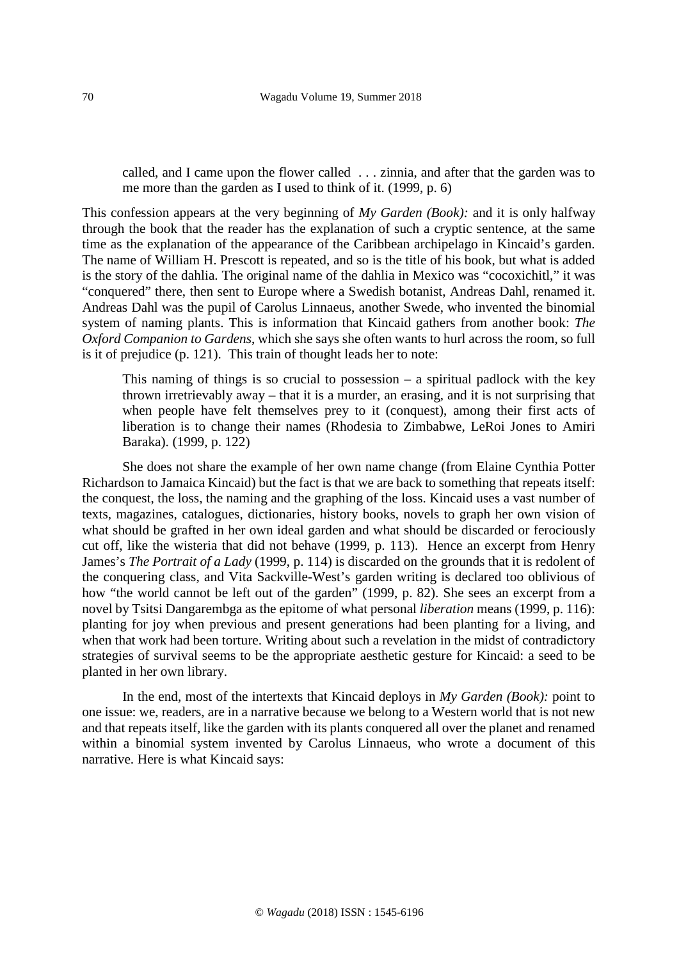called, and I came upon the flower called . . . zinnia, and after that the garden was to me more than the garden as I used to think of it. (1999, p. 6)

This confession appears at the very beginning of *My Garden (Book):* and it is only halfway through the book that the reader has the explanation of such a cryptic sentence, at the same time as the explanation of the appearance of the Caribbean archipelago in Kincaid's garden. The name of William H. Prescott is repeated, and so is the title of his book, but what is added is the story of the dahlia. The original name of the dahlia in Mexico was "cocoxichitl," it was "conquered" there, then sent to Europe where a Swedish botanist, Andreas Dahl, renamed it. Andreas Dahl was the pupil of Carolus Linnaeus, another Swede, who invented the binomial system of naming plants. This is information that Kincaid gathers from another book: *The Oxford Companion to Gardens*, which she says she often wants to hurl across the room, so full is it of prejudice (p. 121). This train of thought leads her to note:

This naming of things is so crucial to possession – a spiritual padlock with the key thrown irretrievably away – that it is a murder, an erasing, and it is not surprising that when people have felt themselves prey to it (conquest), among their first acts of liberation is to change their names (Rhodesia to Zimbabwe, LeRoi Jones to Amiri Baraka). (1999*,* p. 122)

She does not share the example of her own name change (from Elaine Cynthia Potter Richardson to Jamaica Kincaid) but the fact is that we are back to something that repeats itself: the conquest, the loss, the naming and the graphing of the loss. Kincaid uses a vast number of texts, magazines, catalogues, dictionaries, history books, novels to graph her own vision of what should be grafted in her own ideal garden and what should be discarded or ferociously cut off, like the wisteria that did not behave (1999, p. 113). Hence an excerpt from Henry James's *The Portrait of a Lady* (1999, p. 114) is discarded on the grounds that it is redolent of the conquering class, and Vita Sackville-West's garden writing is declared too oblivious of how "the world cannot be left out of the garden" (1999, p. 82). She sees an excerpt from a novel by Tsitsi Dangarembga as the epitome of what personal *liberation* means (1999, p. 116): planting for joy when previous and present generations had been planting for a living, and when that work had been torture. Writing about such a revelation in the midst of contradictory strategies of survival seems to be the appropriate aesthetic gesture for Kincaid: a seed to be planted in her own library.

In the end, most of the intertexts that Kincaid deploys in *My Garden (Book):* point to one issue: we, readers, are in a narrative because we belong to a Western world that is not new and that repeats itself, like the garden with its plants conquered all over the planet and renamed within a binomial system invented by Carolus Linnaeus, who wrote a document of this narrative. Here is what Kincaid says: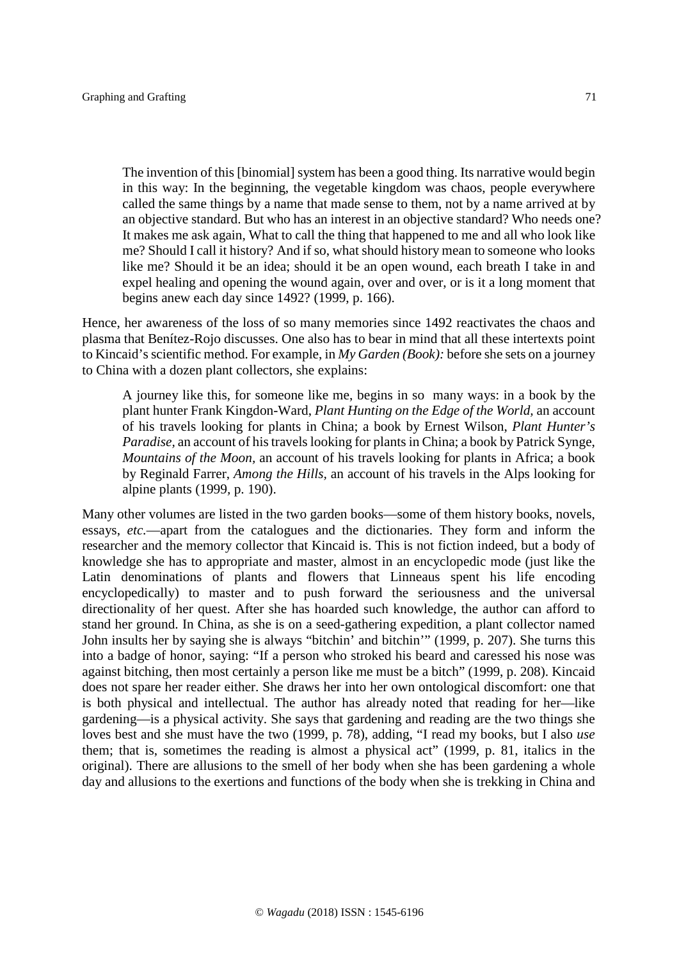The invention of this [binomial] system has been a good thing. Its narrative would begin in this way: In the beginning, the vegetable kingdom was chaos, people everywhere called the same things by a name that made sense to them, not by a name arrived at by an objective standard. But who has an interest in an objective standard? Who needs one? It makes me ask again, What to call the thing that happened to me and all who look like me? Should I call it history? And if so, what should history mean to someone who looks like me? Should it be an idea; should it be an open wound, each breath I take in and expel healing and opening the wound again, over and over, or is it a long moment that begins anew each day since 1492? (1999, p. 166).

Hence, her awareness of the loss of so many memories since 1492 reactivates the chaos and plasma that Benítez-Rojo discusses. One also has to bear in mind that all these intertexts point to Kincaid's scientific method. For example, in *My Garden (Book):* before she sets on a journey to China with a dozen plant collectors, she explains:

A journey like this, for someone like me, begins in so many ways: in a book by the plant hunter Frank Kingdon-Ward, *Plant Hunting on the Edge of the World,* an account of his travels looking for plants in China; a book by Ernest Wilson, *Plant Hunter's Paradise,* an account of his travels looking for plants in China; a book by Patrick Synge, *Mountains of the Moon,* an account of his travels looking for plants in Africa; a book by Reginald Farrer, *Among the Hills,* an account of his travels in the Alps looking for alpine plants (1999*,* p. 190).

Many other volumes are listed in the two garden books—some of them history books, novels, essays, *etc.*—apart from the catalogues and the dictionaries. They form and inform the researcher and the memory collector that Kincaid is. This is not fiction indeed, but a body of knowledge she has to appropriate and master, almost in an encyclopedic mode (just like the Latin denominations of plants and flowers that Linneaus spent his life encoding encyclopedically) to master and to push forward the seriousness and the universal directionality of her quest. After she has hoarded such knowledge, the author can afford to stand her ground. In China, as she is on a seed-gathering expedition, a plant collector named John insults her by saying she is always "bitchin' and bitchin'" (1999, p. 207). She turns this into a badge of honor, saying: "If a person who stroked his beard and caressed his nose was against bitching, then most certainly a person like me must be a bitch" (1999, p. 208). Kincaid does not spare her reader either. She draws her into her own ontological discomfort: one that is both physical and intellectual. The author has already noted that reading for her—like gardening—is a physical activity. She says that gardening and reading are the two things she loves best and she must have the two (1999, p. 78), adding, "I read my books, but I also *use* them; that is, sometimes the reading is almost a physical act" (1999, p. 81, italics in the original). There are allusions to the smell of her body when she has been gardening a whole day and allusions to the exertions and functions of the body when she is trekking in China and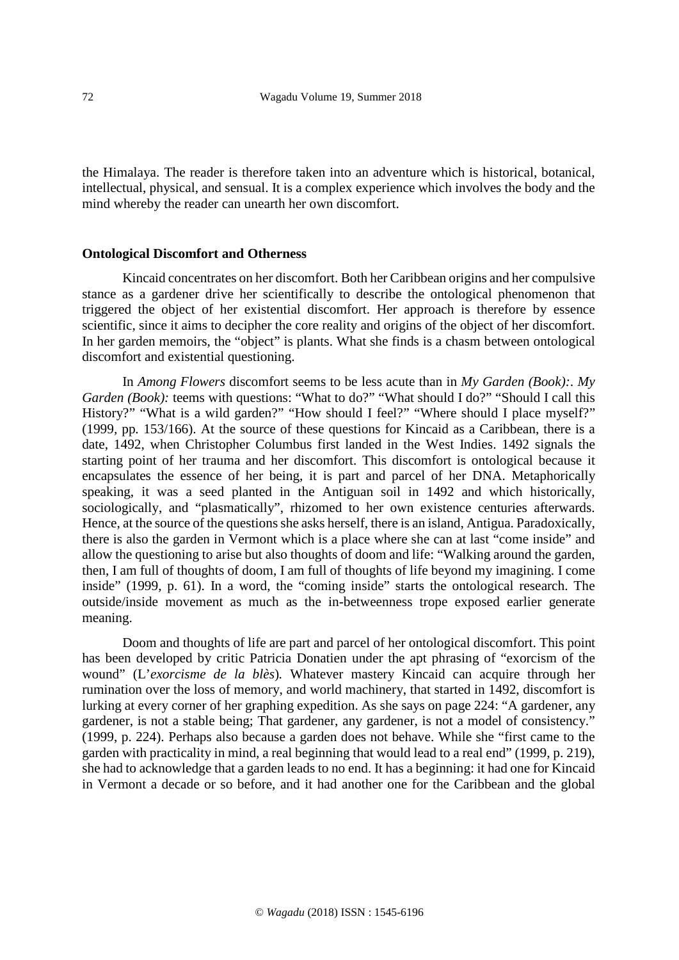the Himalaya. The reader is therefore taken into an adventure which is historical, botanical, intellectual, physical, and sensual. It is a complex experience which involves the body and the mind whereby the reader can unearth her own discomfort.

#### **Ontological Discomfort and Otherness**

Kincaid concentrates on her discomfort. Both her Caribbean origins and her compulsive stance as a gardener drive her scientifically to describe the ontological phenomenon that triggered the object of her existential discomfort. Her approach is therefore by essence scientific, since it aims to decipher the core reality and origins of the object of her discomfort. In her garden memoirs, the "object" is plants. What she finds is a chasm between ontological discomfort and existential questioning.

In *Among Flowers* discomfort seems to be less acute than in *My Garden (Book):*. *My Garden (Book):* teems with questions: "What to do?" "What should I do?" "Should I call this History?" "What is a wild garden?" "How should I feel?" "Where should I place myself?" (1999*,* pp*.* 153/166). At the source of these questions for Kincaid as a Caribbean, there is a date, 1492, when Christopher Columbus first landed in the West Indies. 1492 signals the starting point of her trauma and her discomfort. This discomfort is ontological because it encapsulates the essence of her being, it is part and parcel of her DNA. Metaphorically speaking, it was a seed planted in the Antiguan soil in 1492 and which historically, sociologically, and "plasmatically", rhizomed to her own existence centuries afterwards. Hence, at the source of the questions she asks herself, there is an island, Antigua. Paradoxically, there is also the garden in Vermont which is a place where she can at last "come inside" and allow the questioning to arise but also thoughts of doom and life: "Walking around the garden, then, I am full of thoughts of doom, I am full of thoughts of life beyond my imagining. I come inside" (1999, p. 61). In a word, the "coming inside" starts the ontological research. The outside/inside movement as much as the in-betweenness trope exposed earlier generate meaning.

Doom and thoughts of life are part and parcel of her ontological discomfort. This point has been developed by critic Patricia Donatien under the apt phrasing of "exorcism of the wound" (L'*exorcisme de la blès*)*.* Whatever mastery Kincaid can acquire through her rumination over the loss of memory, and world machinery, that started in 1492, discomfort is lurking at every corner of her graphing expedition. As she says on page 224: "A gardener, any gardener, is not a stable being; That gardener, any gardener, is not a model of consistency." (1999, p. 224). Perhaps also because a garden does not behave. While she "first came to the garden with practicality in mind, a real beginning that would lead to a real end" (1999, p. 219), she had to acknowledge that a garden leads to no end. It has a beginning: it had one for Kincaid in Vermont a decade or so before, and it had another one for the Caribbean and the global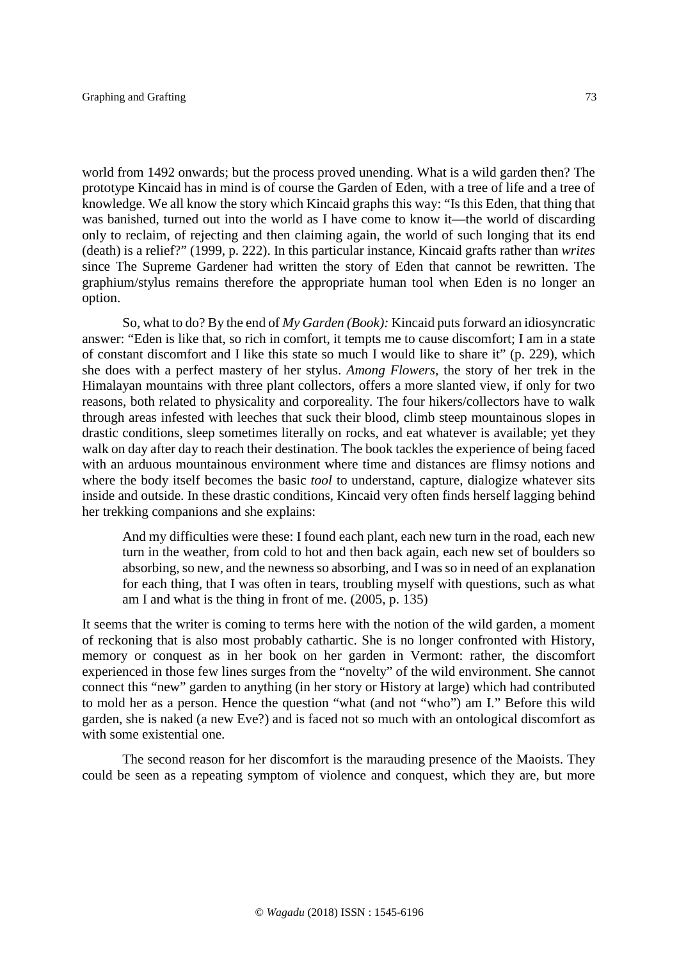world from 1492 onwards; but the process proved unending. What is a wild garden then? The prototype Kincaid has in mind is of course the Garden of Eden, with a tree of life and a tree of knowledge. We all know the story which Kincaid graphs this way: "Is this Eden, that thing that was banished, turned out into the world as I have come to know it—the world of discarding only to reclaim, of rejecting and then claiming again, the world of such longing that its end (death) is a relief?" (1999, p. 222). In this particular instance, Kincaid grafts rather than *writes* since The Supreme Gardener had written the story of Eden that cannot be rewritten. The graphium/stylus remains therefore the appropriate human tool when Eden is no longer an option.

So, what to do? By the end of *My Garden (Book):* Kincaid puts forward an idiosyncratic answer: "Eden is like that, so rich in comfort, it tempts me to cause discomfort; I am in a state of constant discomfort and I like this state so much I would like to share it" (p. 229), which she does with a perfect mastery of her stylus. *Among Flowers,* the story of her trek in the Himalayan mountains with three plant collectors, offers a more slanted view, if only for two reasons, both related to physicality and corporeality. The four hikers/collectors have to walk through areas infested with leeches that suck their blood, climb steep mountainous slopes in drastic conditions, sleep sometimes literally on rocks, and eat whatever is available; yet they walk on day after day to reach their destination. The book tackles the experience of being faced with an arduous mountainous environment where time and distances are flimsy notions and where the body itself becomes the basic *tool* to understand, capture, dialogize whatever sits inside and outside. In these drastic conditions, Kincaid very often finds herself lagging behind her trekking companions and she explains:

And my difficulties were these: I found each plant, each new turn in the road, each new turn in the weather, from cold to hot and then back again, each new set of boulders so absorbing, so new, and the newness so absorbing, and I was so in need of an explanation for each thing, that I was often in tears, troubling myself with questions, such as what am I and what is the thing in front of me. (2005, p. 135)

It seems that the writer is coming to terms here with the notion of the wild garden, a moment of reckoning that is also most probably cathartic. She is no longer confronted with History, memory or conquest as in her book on her garden in Vermont: rather, the discomfort experienced in those few lines surges from the "novelty" of the wild environment. She cannot connect this "new" garden to anything (in her story or History at large) which had contributed to mold her as a person. Hence the question "what (and not "who") am I." Before this wild garden, she is naked (a new Eve?) and is faced not so much with an ontological discomfort as with some existential one.

The second reason for her discomfort is the marauding presence of the Maoists. They could be seen as a repeating symptom of violence and conquest, which they are, but more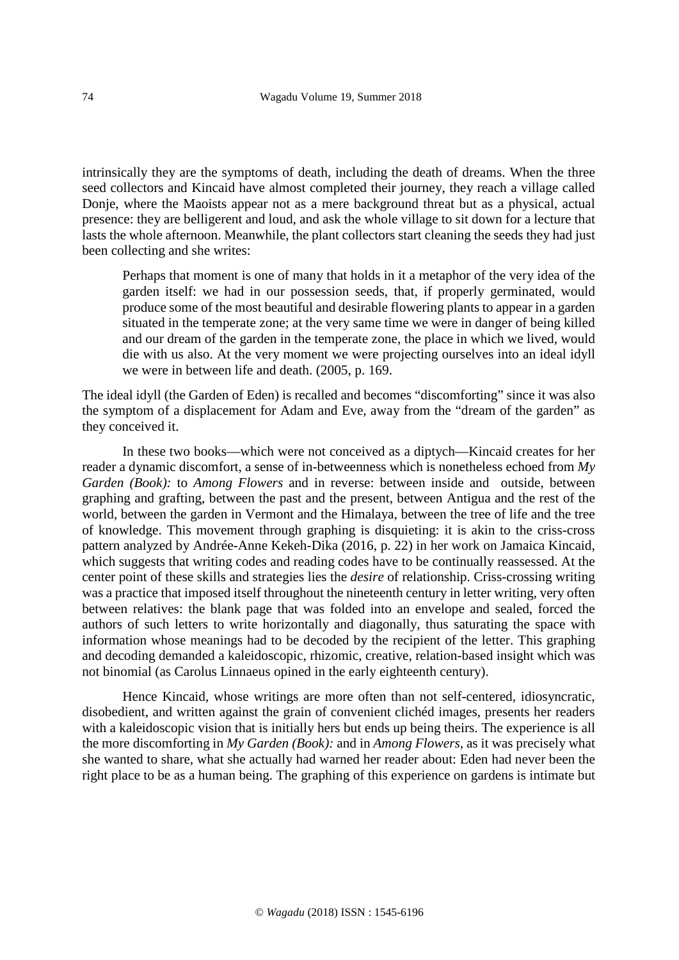intrinsically they are the symptoms of death, including the death of dreams. When the three seed collectors and Kincaid have almost completed their journey, they reach a village called Donje, where the Maoists appear not as a mere background threat but as a physical, actual presence: they are belligerent and loud, and ask the whole village to sit down for a lecture that lasts the whole afternoon. Meanwhile, the plant collectors start cleaning the seeds they had just been collecting and she writes:

Perhaps that moment is one of many that holds in it a metaphor of the very idea of the garden itself: we had in our possession seeds, that, if properly germinated, would produce some of the most beautiful and desirable flowering plants to appear in a garden situated in the temperate zone; at the very same time we were in danger of being killed and our dream of the garden in the temperate zone, the place in which we lived, would die with us also. At the very moment we were projecting ourselves into an ideal idyll we were in between life and death. (2005, p. 169.

The ideal idyll (the Garden of Eden) is recalled and becomes "discomforting" since it was also the symptom of a displacement for Adam and Eve, away from the "dream of the garden" as they conceived it.

In these two books—which were not conceived as a diptych—Kincaid creates for her reader a dynamic discomfort, a sense of in-betweenness which is nonetheless echoed from *My Garden (Book):* to *Among Flowers* and in reverse: between inside and outside, between graphing and grafting, between the past and the present, between Antigua and the rest of the world, between the garden in Vermont and the Himalaya, between the tree of life and the tree of knowledge. This movement through graphing is disquieting: it is akin to the criss-cross pattern analyzed by Andrée-Anne Kekeh-Dika (2016, p. 22) in her work on Jamaica Kincaid, which suggests that writing codes and reading codes have to be continually reassessed. At the center point of these skills and strategies lies the *desire* of relationship. Criss-crossing writing was a practice that imposed itself throughout the nineteenth century in letter writing, very often between relatives: the blank page that was folded into an envelope and sealed, forced the authors of such letters to write horizontally and diagonally, thus saturating the space with information whose meanings had to be decoded by the recipient of the letter. This graphing and decoding demanded a kaleidoscopic, rhizomic, creative, relation-based insight which was not binomial (as Carolus Linnaeus opined in the early eighteenth century).

Hence Kincaid, whose writings are more often than not self-centered, idiosyncratic, disobedient, and written against the grain of convenient clichéd images, presents her readers with a kaleidoscopic vision that is initially hers but ends up being theirs. The experience is all the more discomforting in *My Garden (Book):* and in *Among Flowers*, as it was precisely what she wanted to share, what she actually had warned her reader about: Eden had never been the right place to be as a human being. The graphing of this experience on gardens is intimate but